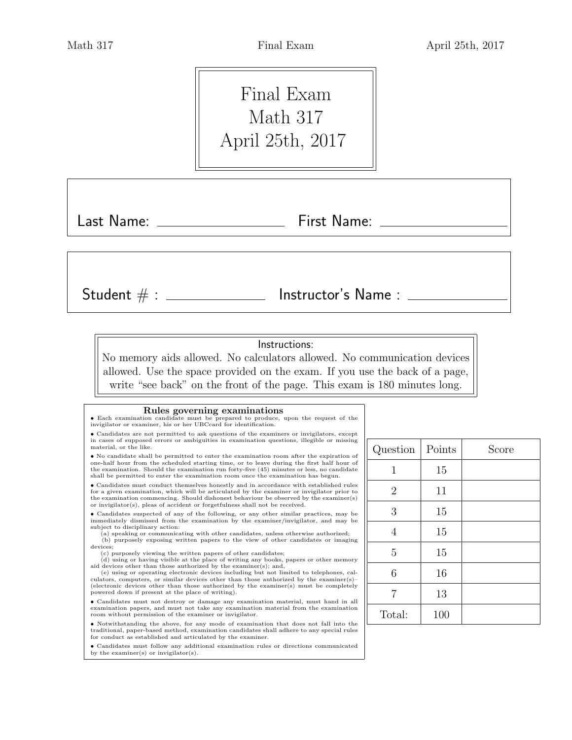## Final Exam Math 317 April 25th, 2017

Last Name: First Name:

Student # : Instructor's Name :

Instructions:

No memory aids allowed. No calculators allowed. No communication devices allowed. Use the space provided on the exam. If you use the back of a page, write "see back" on the front of the page. This exam is 180 minutes long.

## Rules governing examinations

• Each examination candidate must be prepared to produce, upon the request of the invigilator or examiner, his or her UBCcard for identification.

• No candidate shall be permitted to enter the examination room after the expiration of one-half hour from the scheduled starting time, or to leave during the first half hour of the examination. Should the examination run forty-five (45) minutes or less, no candidate shall be permitted to enter the examination room once the examination has begun.

• Candidates must conduct themselves honestly and in accordance with established rules for a given examination, which will be articulated by the examiner or invigilator prior to the examination commencing. Should dishonest behaviour be observed by the examiner(s) or invigilator(s), pleas of accident or forgetfulness shall not be received.

• Candidates suspected of any of the following, or any other similar practices, may be immediately dismissed from the examination by the examiner/invigilator, and may be subject to disciplinary action:

(a) speaking or communicating with other candidates, unless otherwise authorized; (b) purposely exposing written papers to the view of other candidates or imaging devices

(c) purposely viewing the written papers of other candidates; (d) using or having visible at the place of writing any books, papers or other memory aid devices other than those authorized by the examiner(s); and,

(e) using or operating electronic devices including but not limited to telephones, calculators, computers, or similar devices other than those authorized by the examiner(s)– (electronic devices other than those authorized by the examiner(s) must be completely powered down if present at the place of writing).

• Candidates must not destroy or damage any examination material, must hand in all examination papers, and must not take any examination material from the examination room without permission of the examiner or invigilator.

• Notwithstanding the above, for any mode of examination that does not fall into the traditional, paper-based method, examination candidates shall adhere to any special rules for conduct as established and articulated by the examiner.

• Candidates must follow any additional examination rules or directions communicated by the examiner(s) or invigilator(s).

| Question       | Points | Score |
|----------------|--------|-------|
| $\mathbf{1}$   | 15     |       |
| $\overline{2}$ | 11     |       |
| 3              | 15     |       |
| $\overline{4}$ | 15     |       |
| 5              | 15     |       |
| 6              | 16     |       |
| 7              | 13     |       |
| Total:         | 100    |       |

<sup>•</sup> Candidates are not permitted to ask questions of the examiners or invigilators, except in cases of supposed errors or ambiguities in examination questions, illegible or missing material, or the like.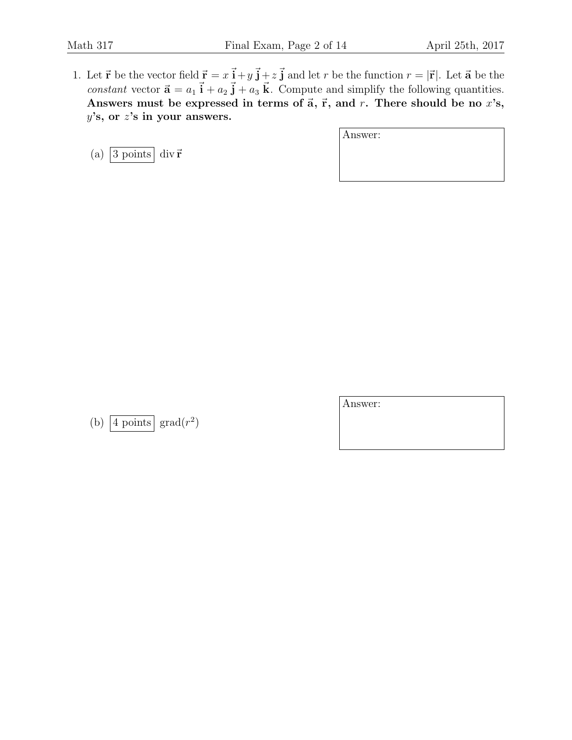1. Let  $\vec{r}$  be the vector field  $\vec{r} = x \vec{i} + y \vec{j} + z \vec{j}$  and let r be the function  $r = |\vec{r}|$ . Let  $\vec{a}$  be the constant vector  $\vec{a} = a_1 \vec{i} + a_2 \vec{j} + a_3 \vec{k}$ . Compute and simplify the following quantities. Answers must be expressed in terms of  $\vec{a}$ ,  $\vec{r}$ , and r. There should be no x's,  $y$ 's, or  $z$ 's in your answers.

(a)  $|3$  points div  $\vec{r}$ 

Answer:

(b) 4 points grad $(r^2)$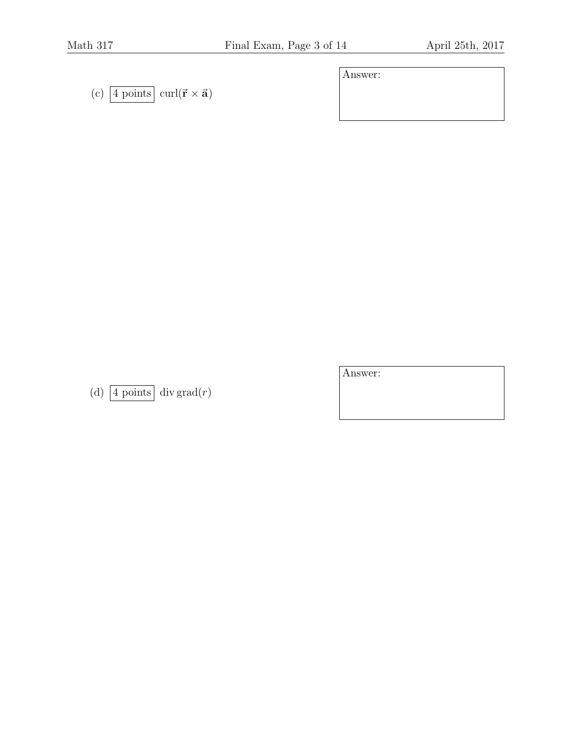(c)  $\boxed{4 \text{ points}}$  curl( $\vec{r} \times \vec{a}$ )

Answer:

(d)  $\boxed{4 \text{ points}}$  div grad $(r)$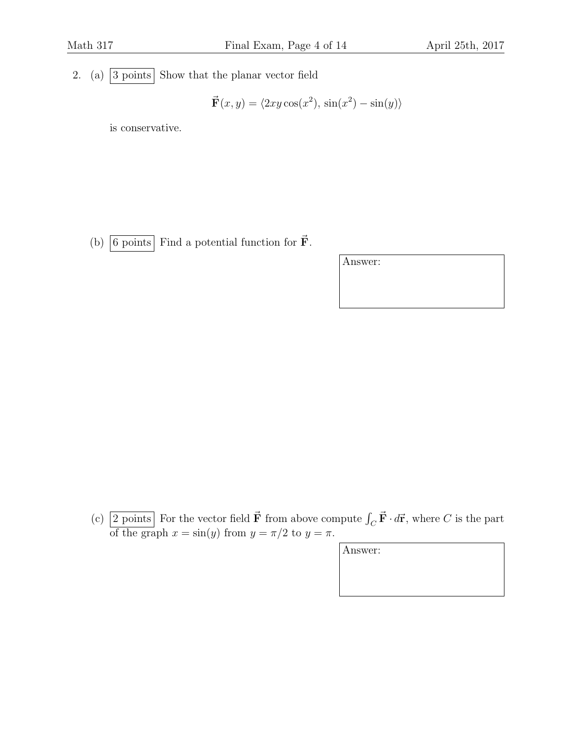2. (a)  $\boxed{3 \text{ points}}$  Show that the planar vector field

$$
\vec{\mathbf{F}}(x,y) = \langle 2xy \cos(x^2), \sin(x^2) - \sin(y) \rangle
$$

is conservative.

(b)  $\boxed{6 \text{ points}}$  Find a potential function for  $\vec{F}$ .

| Answer: |  |  |
|---------|--|--|
|         |  |  |

(c)  $\boxed{2 \text{ points}}$  For the vector field  $\vec{F}$  from above compute  $\int_C \vec{F} \cdot d\vec{r}$ , where C is the part of the graph  $x = \sin(y)$  from  $y = \pi/2$  to  $y = \pi$ .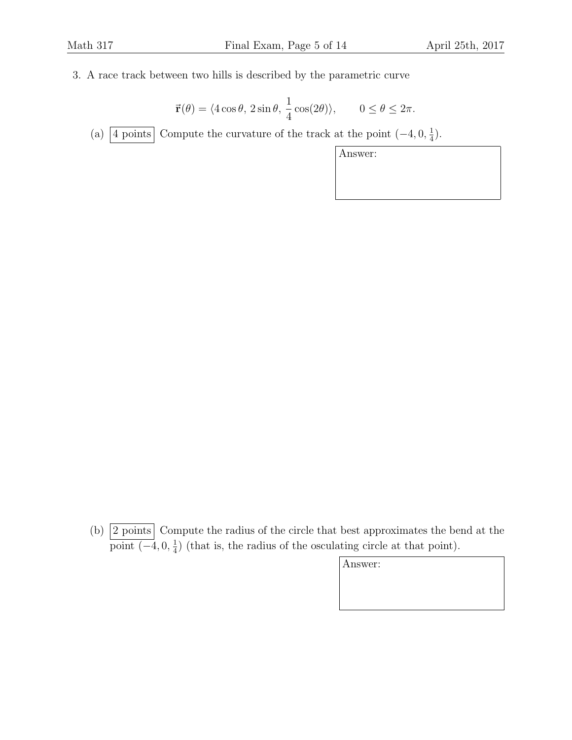3. A race track between two hills is described by the parametric curve

$$
\vec{\mathbf{r}}(\theta) = \langle 4\cos\theta, 2\sin\theta, \frac{1}{4}\cos(2\theta) \rangle, \qquad 0 \le \theta \le 2\pi.
$$

(a)  $\boxed{4 \text{ points}}$  Compute the curvature of the track at the point  $(-4,0,\frac{1}{4})$  $(\frac{1}{4})$ .

Answer:

(b)  $\boxed{2 \text{ points}}$  Compute the radius of the circle that best approximates the bend at the point  $\left(-4,0,\frac{1}{4}\right)$  $\frac{1}{4}$ ) (that is, the radius of the osculating circle at that point).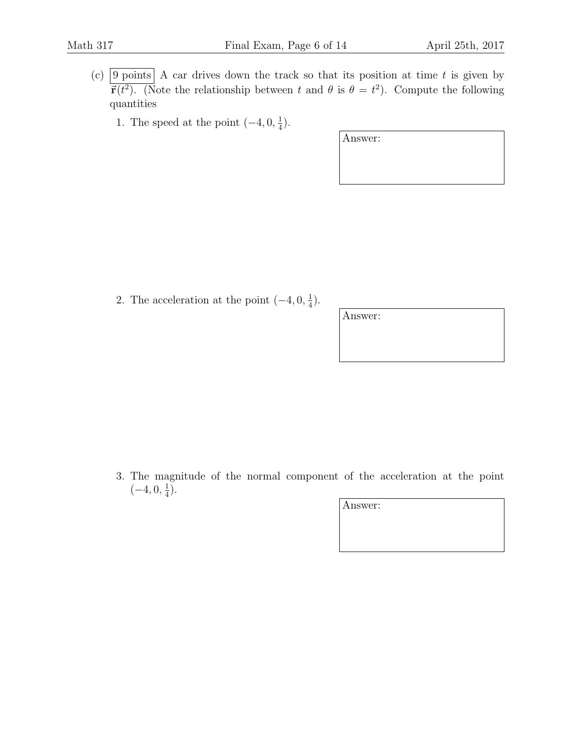- (c)  $\boxed{9 \text{ points}}$  A car drives down the track so that its position at time t is given by  $\vec{r}(t^2)$ . (Note the relationship between t and  $\theta$  is  $\theta = t^2$ ). Compute the following quantities
	- 1. The speed at the point  $(-4,0,\frac{1}{4})$  $(\frac{1}{4})$ .

| Answer: |  |  |
|---------|--|--|
|         |  |  |
|         |  |  |
|         |  |  |

2. The acceleration at the point  $(-4, 0, \frac{1}{4})$  $\frac{1}{4}$ .

Answer:

3. The magnitude of the normal component of the acceleration at the point  $(-4, 0, \frac{1}{4})$  $(\frac{1}{4})$ .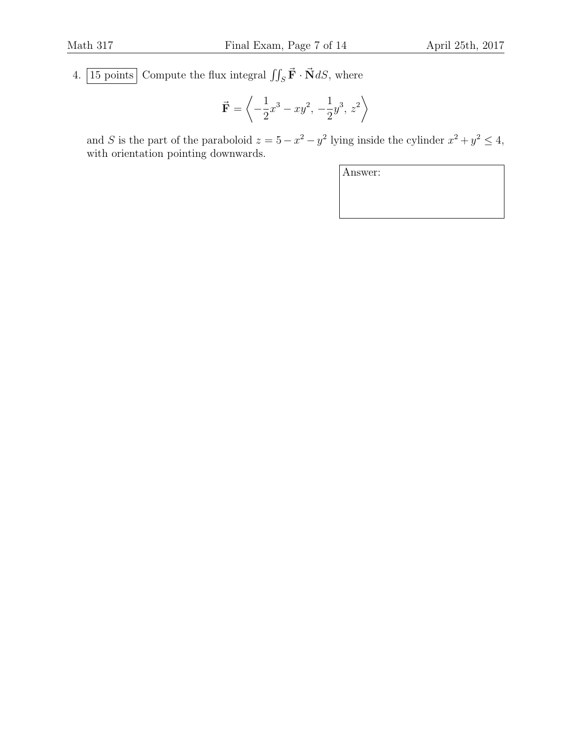4. [15 points] Compute the flux integral  $\iint_S \vec{F} \cdot \vec{N} dS$ , where

$$
\vec{F} = \left\langle -\frac{1}{2}x^3 - xy^2, -\frac{1}{2}y^3, z^2 \right\rangle
$$

and S is the part of the paraboloid  $z = 5 - x^2 - y^2$  lying inside the cylinder  $x^2 + y^2 \le 4$ , with orientation pointing downwards.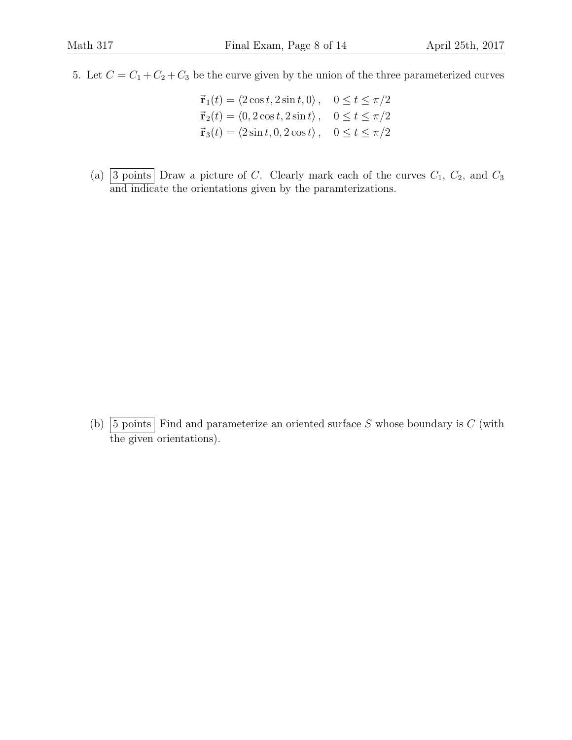5. Let  $C = C_1 + C_2 + C_3$  be the curve given by the union of the three parameterized curves

$$
\vec{\mathbf{r}}_1(t) = \langle 2\cos t, 2\sin t, 0 \rangle, \quad 0 \le t \le \pi/2
$$
  

$$
\vec{\mathbf{r}}_2(t) = \langle 0, 2\cos t, 2\sin t \rangle, \quad 0 \le t \le \pi/2
$$
  

$$
\vec{\mathbf{r}}_3(t) = \langle 2\sin t, 0, 2\cos t \rangle, \quad 0 \le t \le \pi/2
$$

(a) 3 points Draw a picture of C. Clearly mark each of the curves  $C_1, C_2$ , and  $C_3$ and indicate the orientations given by the paramterizations.

(b)  $\overline{5}$  points Find and parameterize an oriented surface S whose boundary is C (with the given orientations).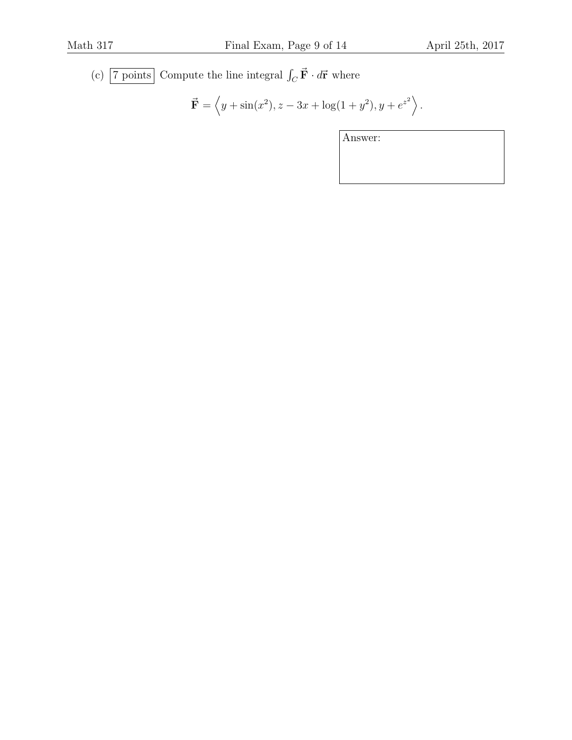(c)  $\boxed{7 \text{ points}}$  Compute the line integral  $\int_C \vec{F} \cdot d\vec{r}$  where

$$
\vec{F} = \langle y + \sin(x^2), z - 3x + \log(1 + y^2), y + e^{z^2} \rangle.
$$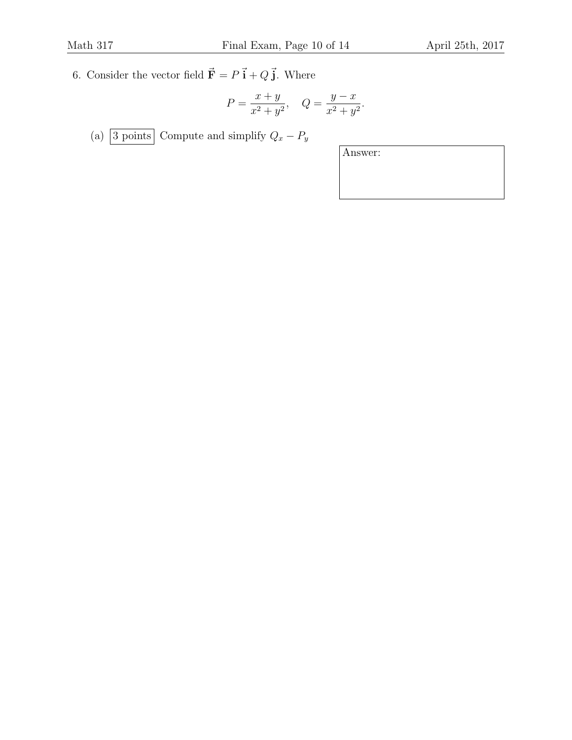6. Consider the vector field  $\vec{F} = P \vec{i} + Q \vec{j}$ . Where

$$
P = \frac{x+y}{x^2+y^2}, \quad Q = \frac{y-x}{x^2+y^2}.
$$

(a)  $\boxed{3 \text{ points}}$  Compute and simplify  $Q_x - P_y$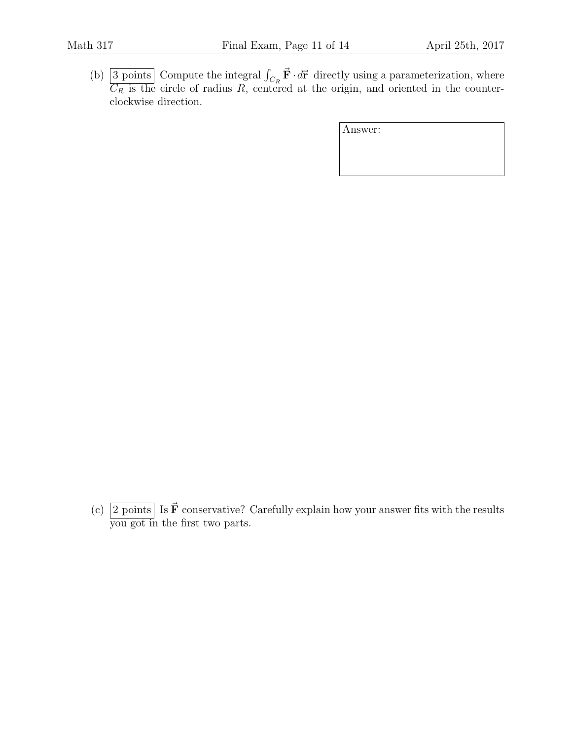(b)  $\boxed{3 \text{ points}}$  Compute the integral  $\int_{C_R} \vec{F} \cdot d\vec{r}$  directly using a parameterization, where  $\overline{C_R}$  is the circle of radius R, centered at the origin, and oriented in the counterclockwise direction.

| Answer: |  |
|---------|--|
|---------|--|

(c)  $\boxed{2 \text{ points}}$  Is  $\vec{F}$  conservative? Carefully explain how your answer fits with the results you got in the first two parts.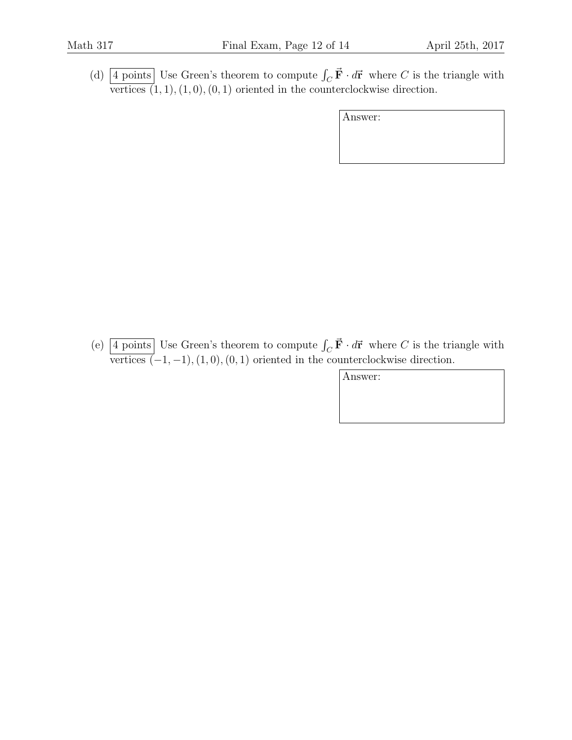(d)  $\boxed{4 \text{ points}}$  Use Green's theorem to compute  $\int_C \vec{F} \cdot d\vec{r}$  where C is the triangle with vertices  $(1, 1), (1, 0), (0, 1)$  oriented in the counterclockwise direction.

Answer:

(e)  $\boxed{4 \text{ points}}$  Use Green's theorem to compute  $\int_C \vec{F} \cdot d\vec{r}$  where C is the triangle with vertices  $(-1, -1)$ ,  $(1, 0)$ ,  $(0, 1)$  oriented in the counterclockwise direction.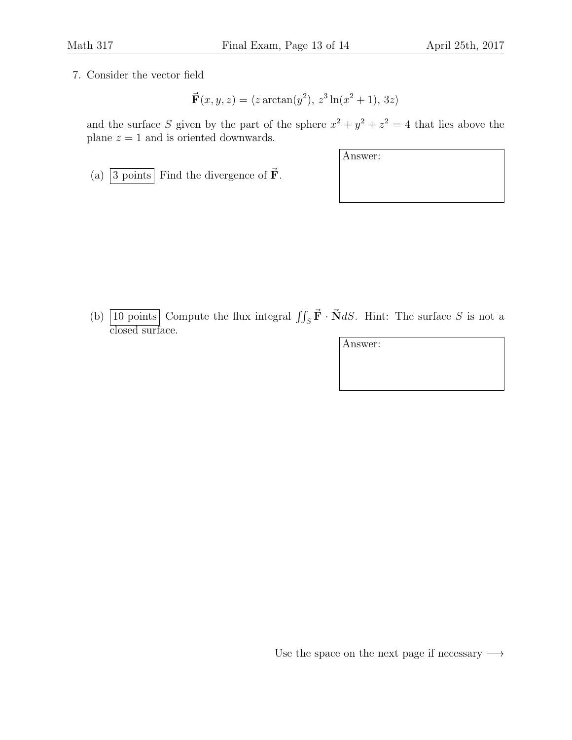7. Consider the vector field

$$
\vec{\mathbf{F}}(x, y, z) = \langle z \arctan(y^2), z^3 \ln(x^2 + 1), 3z \rangle
$$

and the surface S given by the part of the sphere  $x^2 + y^2 + z^2 = 4$  that lies above the plane  $z = 1$  and is oriented downwards.

(a)  $\boxed{3 \text{ points}}$  Find the divergence of  $\vec{F}$ .

| Answer: |  |  |
|---------|--|--|
|         |  |  |
|         |  |  |
|         |  |  |
|         |  |  |

(b)  $\boxed{10 \text{ points}}$  Compute the flux integral  $\iint_S \vec{F} \cdot \vec{N} dS$ . Hint: The surface S is not a closed surface.